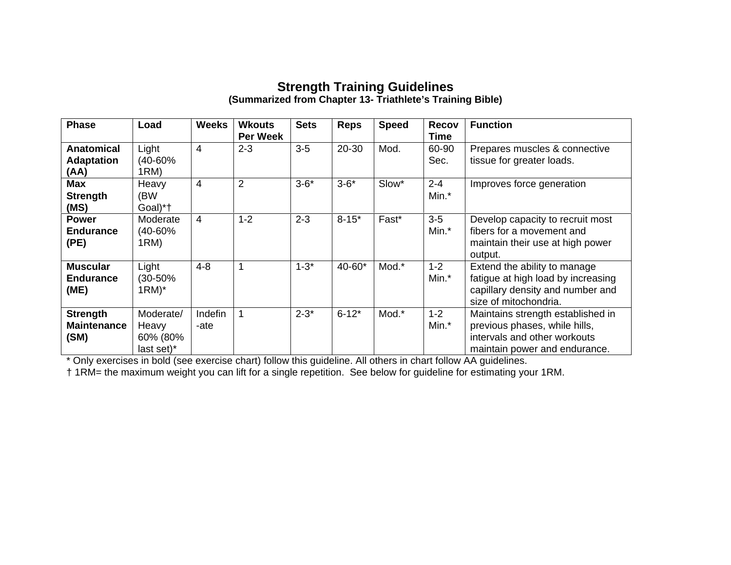## **Strength Training Guidelines (Summarized from Chapter 13- Triathlete's Training Bible)**

| <b>Phase</b>                                   | Load                                         | <b>Weeks</b>    | <b>Wkouts</b><br>Per Week | <b>Sets</b> | <b>Reps</b> | <b>Speed</b> | <b>Recov</b><br><b>Time</b> | <b>Function</b>                                                                                                                     |
|------------------------------------------------|----------------------------------------------|-----------------|---------------------------|-------------|-------------|--------------|-----------------------------|-------------------------------------------------------------------------------------------------------------------------------------|
| <b>Anatomical</b><br><b>Adaptation</b><br>(AA) | Light<br>(40-60%<br>1RM)                     | $\overline{4}$  | $2 - 3$                   | $3-5$       | 20-30       | Mod.         | 60-90<br>Sec.               | Prepares muscles & connective<br>tissue for greater loads.                                                                          |
| Max<br><b>Strength</b><br>(MS)                 | Heavy<br>(BW<br>Goal)*†                      | 4               | $\overline{2}$            | $3 - 6*$    | $3 - 6*$    | Slow*        | $2 - 4$<br>Min.*            | Improves force generation                                                                                                           |
| <b>Power</b><br><b>Endurance</b><br>(PE)       | Moderate<br>(40-60%<br>1RM)                  | $\overline{4}$  | $1 - 2$                   | $2 - 3$     | $8 - 15*$   | Fast*        | $3-5$<br>Min.*              | Develop capacity to recruit most<br>fibers for a movement and<br>maintain their use at high power<br>output.                        |
| <b>Muscular</b><br><b>Endurance</b><br>(ME)    | Light<br>(30-50%<br>$1RM$ <sup>*</sup>       | $4 - 8$         | 1                         | $1 - 3*$    | 40-60*      | Mod.*        | $1 - 2$<br>Min.*            | Extend the ability to manage<br>fatigue at high load by increasing<br>capillary density and number and<br>size of mitochondria.     |
| <b>Strength</b><br><b>Maintenance</b><br>(SM)  | Moderate/<br>Heavy<br>60% (80%<br>last set)* | Indefin<br>-ate | 1                         | $2 - 3^*$   | $6 - 12^*$  | Mod.*        | $1 - 2$<br>Min.*            | Maintains strength established in<br>previous phases, while hills,<br>intervals and other workouts<br>maintain power and endurance. |

\* Only exercises in bold (see exercise chart) follow this guideline. All others in chart follow AA guidelines.

† 1RM= the maximum weight you can lift for a single repetition. See below for guideline for estimating your 1RM.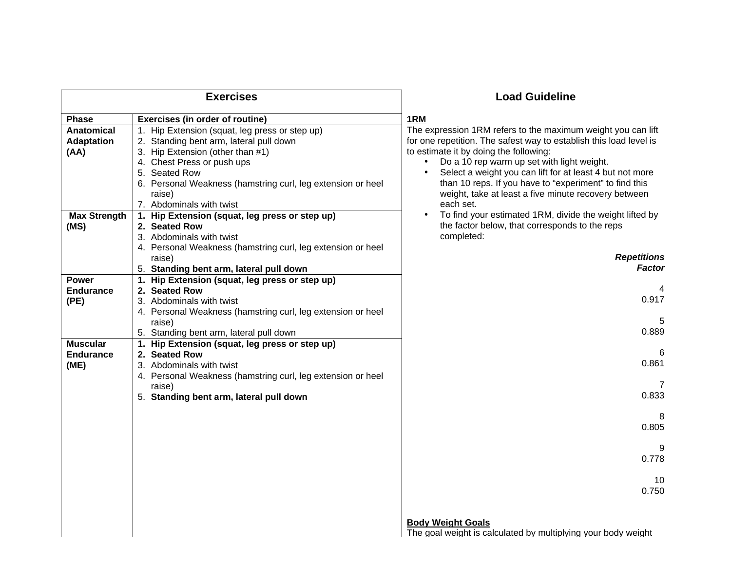|                                                | <b>Exercises</b>                                                                                                                                                                                                                                                                  | <b>Load Guideline</b>                                                                                                                                                                                                                                                                                                                                                                                                              |  |
|------------------------------------------------|-----------------------------------------------------------------------------------------------------------------------------------------------------------------------------------------------------------------------------------------------------------------------------------|------------------------------------------------------------------------------------------------------------------------------------------------------------------------------------------------------------------------------------------------------------------------------------------------------------------------------------------------------------------------------------------------------------------------------------|--|
| <b>Phase</b>                                   | <b>Exercises (in order of routine)</b>                                                                                                                                                                                                                                            | 1RM                                                                                                                                                                                                                                                                                                                                                                                                                                |  |
| <b>Anatomical</b><br><b>Adaptation</b><br>(AA) | 1. Hip Extension (squat, leg press or step up)<br>2. Standing bent arm, lateral pull down<br>3. Hip Extension (other than #1)<br>4. Chest Press or push ups<br>5. Seated Row<br>6. Personal Weakness (hamstring curl, leg extension or heel<br>raise)<br>7. Abdominals with twist | The expression 1RM refers to the maximum weight you can lift<br>for one repetition. The safest way to establish this load level is<br>to estimate it by doing the following:<br>Do a 10 rep warm up set with light weight.<br>$\bullet$<br>Select a weight you can lift for at least 4 but not more<br>than 10 reps. If you have to "experiment" to find this<br>weight, take at least a five minute recovery between<br>each set. |  |
| <b>Max Strength</b><br>(MS)                    | 1. Hip Extension (squat, leg press or step up)<br>2. Seated Row<br>3. Abdominals with twist<br>4. Personal Weakness (hamstring curl, leg extension or heel                                                                                                                        | To find your estimated 1RM, divide the weight lifted by<br>the factor below, that corresponds to the reps<br>completed:                                                                                                                                                                                                                                                                                                            |  |
|                                                | raise)<br>5. Standing bent arm, lateral pull down                                                                                                                                                                                                                                 | <b>Repetitions</b><br>Factor                                                                                                                                                                                                                                                                                                                                                                                                       |  |
| <b>Power</b><br><b>Endurance</b><br>(PE)       | 1. Hip Extension (squat, leg press or step up)<br>2. Seated Row<br>3. Abdominals with twist<br>4. Personal Weakness (hamstring curl, leg extension or heel                                                                                                                        | 4<br>0.917                                                                                                                                                                                                                                                                                                                                                                                                                         |  |
|                                                | raise)<br>5. Standing bent arm, lateral pull down                                                                                                                                                                                                                                 | 5<br>0.889                                                                                                                                                                                                                                                                                                                                                                                                                         |  |
| <b>Muscular</b><br>Endurance<br>(ME)           | 1. Hip Extension (squat, leg press or step up)<br>2. Seated Row<br>3. Abdominals with twist                                                                                                                                                                                       | 6<br>0.861                                                                                                                                                                                                                                                                                                                                                                                                                         |  |
|                                                | 4. Personal Weakness (hamstring curl, leg extension or heel<br>raise)<br>5. Standing bent arm, lateral pull down                                                                                                                                                                  | 7<br>0.833                                                                                                                                                                                                                                                                                                                                                                                                                         |  |
|                                                |                                                                                                                                                                                                                                                                                   | 8<br>0.805                                                                                                                                                                                                                                                                                                                                                                                                                         |  |
|                                                |                                                                                                                                                                                                                                                                                   | 9<br>0.778                                                                                                                                                                                                                                                                                                                                                                                                                         |  |
|                                                |                                                                                                                                                                                                                                                                                   | 10<br>0.750                                                                                                                                                                                                                                                                                                                                                                                                                        |  |
|                                                |                                                                                                                                                                                                                                                                                   | <b>Body Weight Goals</b><br>The goal weight is calculated by multiplying your body weight                                                                                                                                                                                                                                                                                                                                          |  |